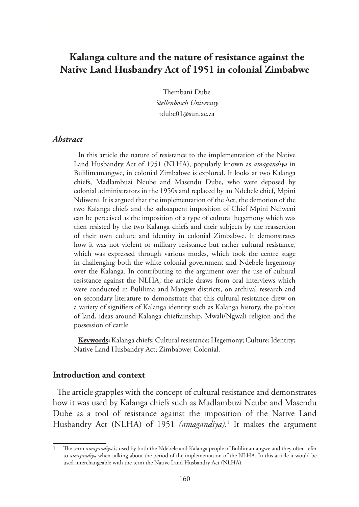# **Kalanga culture and the nature of resistance against the Native Land Husbandry Act of 1951 in colonial Zimbabwe**

Thembani Dube *Stellenbosch University* tdube01@sun.ac.za

#### *Abstract*

In this article the nature of resistance to the implementation of the Native Land Husbandry Act of 1951 (NLHA), popularly known as *amagandiya* in Bulilimamangwe, in colonial Zimbabwe is explored. It looks at two Kalanga chiefs, Madlambuzi Ncube and Masendu Dube, who were deposed by colonial administrators in the 1950s and replaced by an Ndebele chief, Mpini Ndiweni. It is argued that the implementation of the Act, the demotion of the two Kalanga chiefs and the subsequent imposition of Chief Mpini Ndiweni can be perceived as the imposition of a type of cultural hegemony which was then resisted by the two Kalanga chiefs and their subjects by the reassertion of their own culture and identity in colonial Zimbabwe. It demonstrates how it was not violent or military resistance but rather cultural resistance, which was expressed through various modes, which took the centre stage in challenging both the white colonial government and Ndebele hegemony over the Kalanga. In contributing to the argument over the use of cultural resistance against the NLHA, the article draws from oral interviews which were conducted in Bulilima and Mangwe districts, on archival research and on secondary literature to demonstrate that this cultural resistance drew on a variety of signifiers of Kalanga identity such as Kalanga history, the politics of land, ideas around Kalanga chieftainship, Mwali/Ngwali religion and the possession of cattle.

**Keywords:** Kalanga chiefs; Cultural resistance; Hegemony; Culture; Identity; Native Land Husbandry Act; Zimbabwe; Colonial.

#### **Introduction and context**

The article grapples with the concept of cultural resistance and demonstrates how it was used by Kalanga chiefs such as Madlambuzi Ncube and Masendu Dube as a tool of resistance against the imposition of the Native Land Husbandry Act (NLHA) of 1951 (amagandiya).<sup>1</sup> It makes the argument

<sup>1</sup> The term *amagandiya* is used by both the Ndebele and Kalanga people of Bulilimamangwe and they often refer to *amagandiya* when talking about the period of the implementation of the NLHA. In this article it would be used interchangeable with the term the Native Land Husbandry Act (NLHA).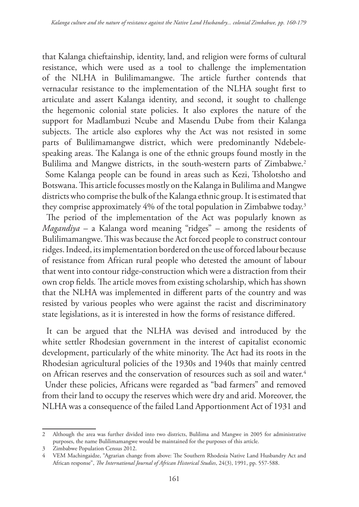that Kalanga chieftainship, identity, land, and religion were forms of cultural resistance, which were used as a tool to challenge the implementation of the NLHA in Bulilimamangwe. The article further contends that vernacular resistance to the implementation of the NLHA sought first to articulate and assert Kalanga identity, and second, it sought to challenge the hegemonic colonial state policies. It also explores the nature of the support for Madlambuzi Ncube and Masendu Dube from their Kalanga subjects. The article also explores why the Act was not resisted in some parts of Bulilimamangwe district, which were predominantly Ndebelespeaking areas. The Kalanga is one of the ethnic groups found mostly in the Bulilima and Mangwe districts, in the south-western parts of Zimbabwe.<sup>2</sup>

 Some Kalanga people can be found in areas such as Kezi, Tsholotsho and Botswana. This article focusses mostly on the Kalanga in Bulilima and Mangwe districts who comprise the bulk of the Kalanga ethnic group. It is estimated that they comprise approximately 4% of the total population in Zimbabwe today.3

 The period of the implementation of the Act was popularly known as *Magandiya* – a Kalanga word meaning "ridges" – among the residents of Bulilimamangwe. This was because the Act forced people to construct contour ridges. Indeed, its implementation bordered on the use of forced labour because of resistance from African rural people who detested the amount of labour that went into contour ridge-construction which were a distraction from their own crop fields*.* The article moves from existing scholarship, which has shown that the NLHA was implemented in different parts of the country and was resisted by various peoples who were against the racist and discriminatory state legislations, as it is interested in how the forms of resistance differed.

It can be argued that the NLHA was devised and introduced by the white settler Rhodesian government in the interest of capitalist economic development, particularly of the white minority. The Act had its roots in the Rhodesian agricultural policies of the 1930s and 1940s that mainly centred on African reserves and the conservation of resources such as soil and water.<sup>4</sup>

 Under these policies, Africans were regarded as "bad farmers" and removed from their land to occupy the reserves which were dry and arid. Moreover, the NLHA was a consequence of the failed Land Apportionment Act of 1931 and

<sup>2</sup> Although the area was further divided into two districts, Bulilima and Mangwe in 2005 for administrative purposes, the name Bulilimamangwe would be maintained for the purposes of this article.

<sup>3</sup> Zimbabwe Population Census 2012.

<sup>4</sup> VEM Machingaidze, "Agrarian change from above: The Southern Rhodesia Native Land Husbandry Act and African response", *The International Journal of African Historical Studies*, 24(3), 1991, pp. 557-588.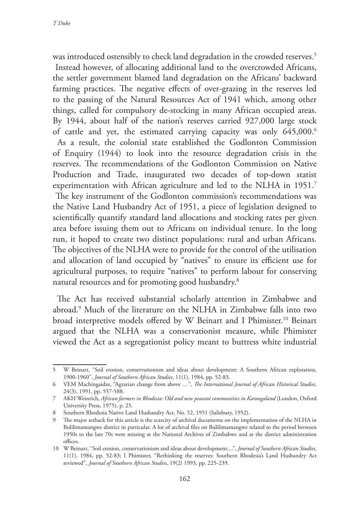was introduced ostensibly to check land degradation in the crowded reserves.<sup>5</sup> Instead however, of allocating additional land to the overcrowded Africans, the settler government blamed land degradation on the Africans' backward farming practices. The negative effects of over-grazing in the reserves led to the passing of the Natural Resources Act of 1941 which, among other things, called for compulsory de-stocking in many African occupied areas. By 1944, about half of the nation's reserves carried 927,000 large stock of cattle and yet, the estimated carrying capacity was only  $645,000$ .<sup>6</sup> As a result, the colonial state established the Godlonton Commission of Enquiry (1944) to look into the resource degradation crisis in the reserves. The recommendations of the Godlonton Commission on Native Production and Trade, inaugurated two decades of top-down statist experimentation with African agriculture and led to the NLHA in 1951.<sup>7</sup> The key instrument of the Godlonton commission's recommendations was the Native Land Husbandry Act of 1951, a piece of legislation designed to scientifically quantify standard land allocations and stocking rates per given area before issuing them out to Africans on individual tenure. In the long run, it hoped to create two distinct populations: rural and urban Africans. The objectives of the NLHA were to provide for the control of the utilisation and allocation of land occupied by "natives" to ensure its efficient use for agricultural purposes, to require "natives" to perform labour for conserving natural resources and for promoting good husbandry.8

The Act has received substantial scholarly attention in Zimbabwe and abroad.9 Much of the literature on the NLHA in Zimbabwe falls into two broad interpretive models offered by W Beinart and I Phimister.10 Beinart argued that the NLHA was a conservationist measure, while Phimister viewed the Act as a segregationist policy meant to buttress white industrial

<sup>5</sup> W Beinart, "Soil erosion, conservationism and ideas about development: A Southern African exploration, 1900-1960", *Journal of Southern African Studies*, 11(1), 1984, pp. 52-83.

<sup>6</sup> VEM Machingaidze, "Agrarian change from above …", *The International Journal of African Historical Studies*, 24(3), 1991, pp. 557-588.

<sup>7</sup> AKH Weinrich, *African farmers in Rhodesia: Old and new peasant communities in Karangaland* (London, Oxford University Press, 1975), p. 25.

<sup>8</sup> Southern Rhodesia Native Land Husbandry Act, No. 52, 1951 (Salisbury, 1952).

<sup>9</sup> The major setback for this article is the scarcity of archival documents on the implementation of the NLHA in Bulilimamangwe district in particular. A lot of archival files on Bulilimamangwe related to the period between 1950s to the late 70s were missing at the National Archives of Zimbabwe and at the district administration offices.

<sup>10</sup> W Beinart, "Soil erosion, conservationism and ideas about development:...", *Journal of Southern African Studies*, 11(1), 1984, pp. 52-83; I Phimister, "Rethinking the reserves: Southern Rhodesia's Land Husbandry Act reviewed", *Journal of Southern African Studies*, 19(2) 1993, pp. 225-239.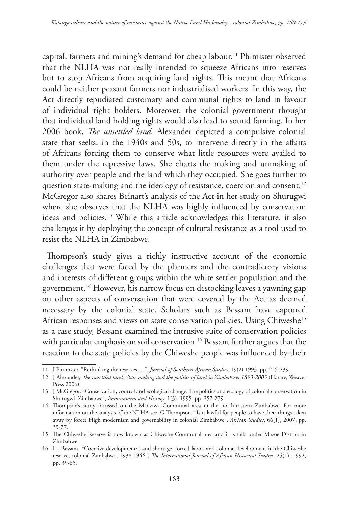capital, farmers and mining's demand for cheap labour.11 Phimister observed that the NLHA was not really intended to squeeze Africans into reserves but to stop Africans from acquiring land rights. This meant that Africans could be neither peasant farmers nor industrialised workers. In this way, the Act directly repudiated customary and communal rights to land in favour of individual right holders. Moreover, the colonial government thought that individual land holding rights would also lead to sound farming. In her 2006 book, *The unsettled land,* Alexander depicted a compulsive colonial state that seeks, in the 1940s and 50s, to intervene directly in the affairs of Africans forcing them to conserve what little resources were availed to them under the repressive laws. She charts the making and unmaking of authority over people and the land which they occupied. She goes further to question state-making and the ideology of resistance, coercion and consent.<sup>12</sup> McGregor also shares Beinart's analysis of the Act in her study on Shurugwi where she observes that the NLHA was highly influenced by conservation ideas and policies.13 While this article acknowledges this literature, it also challenges it by deploying the concept of cultural resistance as a tool used to resist the NLHA in Zimbabwe.

Thompson's study gives a richly instructive account of the economic challenges that were faced by the planners and the contradictory visions and interests of different groups within the white settler population and the government.14 However, his narrow focus on destocking leaves a yawning gap on other aspects of conversation that were covered by the Act as deemed necessary by the colonial state. Scholars such as Bessant have captured African responses and views on state conservation policies. Using Chiweshe<sup>15</sup> as a case study, Bessant examined the intrusive suite of conservation policies with particular emphasis on soil conservation.<sup>16</sup> Bessant further argues that the reaction to the state policies by the Chiweshe people was influenced by their

<sup>11</sup> I Phimister, "Rethinking the reserves …", *Journal of Southern African Studies*, 19(2) 1993, pp. 225-239.

<sup>12</sup> J Alexander, *The unsettled land: State making and the politics of land in Zimbabwe, 1893-2003* (Harare, Weaver Press 2006).

<sup>13</sup> J McGregor, "Conservation, control and ecological change: The politics and ecology of colonial conservation in Shurugwi, Zimbabwe", *Environment and History*, 1(3), 1995, pp. 257-279.

<sup>14</sup> Thompson's study focussed on the Madziwa Communal area in the north-eastern Zimbabwe. For more information on the analysis of the NLHA see, G Thompson, "Is it lawful for people to have their things taken away by force? High modernism and governability in colonial Zimbabwe", *African Studies*, 66(1), 2007, pp. 39-77.

<sup>15</sup> The Chiweshe Reserve is now known as Chiweshe Communal area and it is falls under Mazoe District in Zimbabwe.

<sup>16</sup> LL Bessant, "Coercive development: Land shortage, forced labor, and colonial development in the Chiweshe reserve, colonial Zimbabwe, 1938-1946", *The International Journal of African Historical Studies*, 25(1), 1992, pp. 39-65.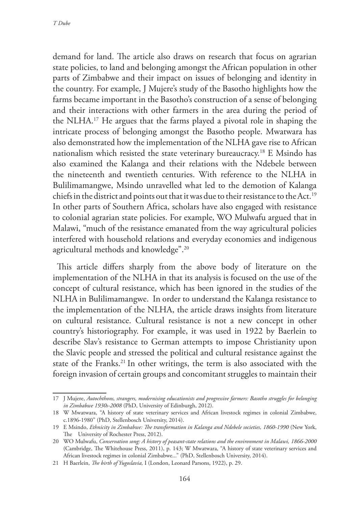demand for land. The article also draws on research that focus on agrarian state policies, to land and belonging amongst the African population in other parts of Zimbabwe and their impact on issues of belonging and identity in the country. For example, J Mujere's study of the Basotho highlights how the farms became important in the Basotho's construction of a sense of belonging and their interactions with other farmers in the area during the period of the NLHA.17 He argues that the farms played a pivotal role in shaping the intricate process of belonging amongst the Basotho people. Mwatwara has also demonstrated how the implementation of the NLHA gave rise to African nationalism which resisted the state veterinary bureaucracy.<sup>18</sup> E Msindo has also examined the Kalanga and their relations with the Ndebele between the nineteenth and twentieth centuries. With reference to the NLHA in Bulilimamangwe, Msindo unravelled what led to the demotion of Kalanga chiefs in the district and points out that it was due to their resistance to the Act.<sup>19</sup> In other parts of Southern Africa, scholars have also engaged with resistance to colonial agrarian state policies. For example, WO Mulwafu argued that in Malawi, "much of the resistance emanated from the way agricultural policies interfered with household relations and everyday economies and indigenous agricultural methods and knowledge".20

This article differs sharply from the above body of literature on the implementation of the NLHA in that its analysis is focused on the use of the concept of cultural resistance, which has been ignored in the studies of the NLHA in Bulilimamangwe. In order to understand the Kalanga resistance to the implementation of the NLHA, the article draws insights from literature on cultural resistance. Cultural resistance is not a new concept in other country's historiography. For example, it was used in 1922 by Baerlein to describe Slav's resistance to German attempts to impose Christianity upon the Slavic people and stressed the political and cultural resistance against the state of the Franks.<sup>21</sup> In other writings, the term is also associated with the foreign invasion of certain groups and concomitant struggles to maintain their

<sup>17</sup> J Mujere, *Autochthons, strangers, modernising educationists and progressive farmers: Basotho struggles for belonging in Zimbabwe 1930s-2008* (PhD, University of Edinburgh, 2012).

<sup>18</sup> W Mwatwara, "A history of state veterinary services and African livestock regimes in colonial Zimbabwe, c.1896-1980" (PhD, Stellenbosch University, 2014).

<sup>19</sup> E Msindo, *Ethnicity in Zimbabwe: The transformation in Kalanga and Ndebele societies, 1860-1990* (New York, The University of Rochester Press, 2012).

<sup>20</sup> WO Mulwafu, *Conservation song: A history of peasant-state relations and the environment in Malawi, 1866-2000* (Cambridge, The Whitehouse Press, 2011), p. 143; W Mwatwara, "A history of state veterinary services and African livestock regimes in colonial Zimbabwe..." (PhD, Stellenbosch University, 2014).

<sup>21</sup> H Baerlein, *The birth of Yugoslavia,* I (London, Leonard Parsons, 1922), p. 29.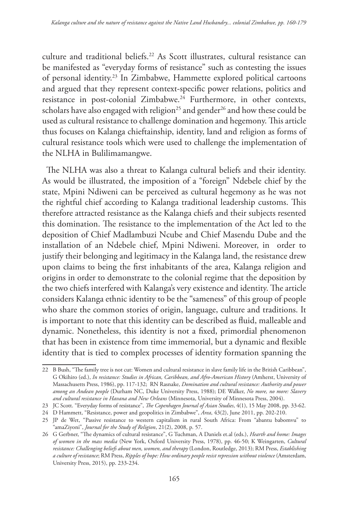culture and traditional beliefs.22 As Scott illustrates, cultural resistance can be manifested as "everyday forms of resistance" such as contesting the issues of personal identity.23 In Zimbabwe, Hammette explored political cartoons and argued that they represent context-specific power relations, politics and resistance in post-colonial Zimbabwe.<sup>24</sup> Furthermore, in other contexts, scholars have also engaged with religion<sup>25</sup> and gender<sup>26</sup> and how these could be used as cultural resistance to challenge domination and hegemony. This article thus focuses on Kalanga chieftainship, identity, land and religion as forms of cultural resistance tools which were used to challenge the implementation of the NLHA in Bulilimamangwe.

The NLHA was also a threat to Kalanga cultural beliefs and their identity. As would be illustrated, the imposition of a "foreign" Ndebele chief by the state, Mpini Ndiweni can be perceived as cultural hegemony as he was not the rightful chief according to Kalanga traditional leadership customs. This therefore attracted resistance as the Kalanga chiefs and their subjects resented this domination. The resistance to the implementation of the Act led to the deposition of Chief Madlambuzi Ncube and Chief Masendu Dube and the installation of an Ndebele chief, Mpini Ndiweni. Moreover, in order to justify their belonging and legitimacy in the Kalanga land, the resistance drew upon claims to being the first inhabitants of the area, Kalanga religion and origins in order to demonstrate to the colonial regime that the deposition by the two chiefs interfered with Kalanga's very existence and identity. The article considers Kalanga ethnic identity to be the "sameness" of this group of people who share the common stories of origin, language, culture and traditions. It is important to note that this identity can be described as fluid, malleable and dynamic. Nonetheless, this identity is not a fixed, primordial phenomenon that has been in existence from time immemorial, but a dynamic and flexible identity that is tied to complex processes of identity formation spanning the

<sup>22</sup> B Bush, "The family tree is not cut: Women and cultural resistance in slave family life in the British Caribbean", G Okihiro (ed.), *In resistance: Studies in African, Caribbean, and Afro-American History* (Amherst, University of Massachusetts Press, 1986), pp. 117-132; RN Rasnake, *Domination and cultural resistance: Authority and power among an Andean people* (Durham NC, Duke University Press, 1988); DE Walker, *No more, no more: Slavery and cultural resistance in Havana and New Orleans* (Minnesota, University of Minnesota Press, 2004).

<sup>23</sup> JC Scott. "Everyday forms of resistance", *The Copenhagen Journal of Asian Studies*, 4(1), 15 May 2008, pp. 33-62.

<sup>24</sup> D Hammett, "Resistance, power and geopolitics in Zimbabwe", *Area*, 43(2), June 2011, pp. 202-210.

<sup>25</sup> JP de Wet, "Passive resistance to western capitalism in rural South Africa: From "abantu babomvu" to "amaZiyoni", *Journal for the Study of Religion*, 21(2), 2008, p. 57.

<sup>26</sup> G Gerbner, "The dynamics of cultural resistance", G Tuchman, A Daniels et.al (eds.), *Hearth and home: Images of women in the mass media* (New York, Oxford University Press, 1978), pp. 46-50; K Weingarten, *Cultural resistance: Challenging beliefs about men, women, and therapy* (London, Routledge, 2013); RM Press, *Establishing a culture of resistance*; RM Press, *Ripples of hope: How ordinary people resist repression without violence* (Amsterdam, University Press, 2015), pp. 233-234.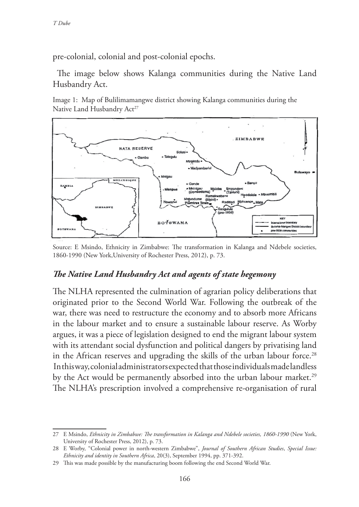pre-colonial, colonial and post-colonial epochs.

The image below shows Kalanga communities during the Native Land Husbandry Act.

Image 1: Map of Bulilimamangwe district showing Kalanga communities during the Native Land Husbandry Act<sup>27</sup>



Source: E Msindo, Ethnicity in Zimbabwe: The transformation in Kalanga and Ndebele societies, 1860-1990 (New York,University of Rochester Press, 2012), p. 73.

#### *The Native Land Husbandry Act and agents of state hegemony*

The NLHA represented the culmination of agrarian policy deliberations that originated prior to the Second World War. Following the outbreak of the war, there was need to restructure the economy and to absorb more Africans in the labour market and to ensure a sustainable labour reserve. As Worby argues, it was a piece of legislation designed to end the migrant labour system with its attendant social dysfunction and political dangers by privatising land in the African reserves and upgrading the skills of the urban labour force.<sup>28</sup> In this way, colonial administrators expected that those individuals made landless by the Act would be permanently absorbed into the urban labour market.<sup>29</sup> The NLHA's prescription involved a comprehensive re-organisation of rural

<sup>27</sup> E Msindo, *Ethnicity in Zimbabwe: The transformation in Kalanga and Ndebele societies, 1860-1990* (New York, University of Rochester Press, 2012), p. 73.

<sup>28</sup> E Worby, "Colonial power in north-western Zimbabwe", *Journal of Southern African Studies*, *Special Issue: Ethnicity and identity in Southern Africa*, 20(3), September 1994, pp. 371-392.

<sup>29</sup> This was made possible by the manufacturing boom following the end Second World War.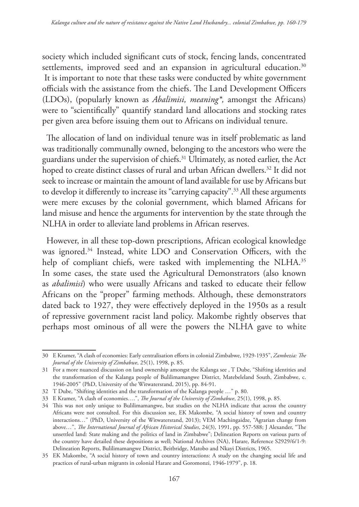society which included significant cuts of stock, fencing lands, concentrated settlements, improved seed and an expansion in agricultural education.<sup>30</sup> It is important to note that these tasks were conducted by white government officials with the assistance from the chiefs. The Land Development Officers (LDOs), (popularly known as *Abalimisi, meaning\*,* amongst the Africans) were to "scientifically" quantify standard land allocations and stocking rates per given area before issuing them out to Africans on individual tenure.

The allocation of land on individual tenure was in itself problematic as land was traditionally communally owned, belonging to the ancestors who were the guardians under the supervision of chiefs.31 Ultimately, as noted earlier, the Act hoped to create distinct classes of rural and urban African dwellers.<sup>32</sup> It did not seek to increase or maintain the amount of land available for use by Africans but to develop it differently to increase its "carrying capacity".<sup>33</sup> All these arguments were mere excuses by the colonial government, which blamed Africans for land misuse and hence the arguments for intervention by the state through the NLHA in order to alleviate land problems in African reserves.

However, in all these top-down prescriptions, African ecological knowledge was ignored.<sup>34</sup> Instead, white LDO and Conservation Officers, with the help of compliant chiefs, were tasked with implementing the NLHA.<sup>35</sup> In some cases, the state used the Agricultural Demonstrators (also known as *abalimisi*) who were usually Africans and tasked to educate their fellow Africans on the "proper" farming methods. Although, these demonstrators dated back to 1927, they were effectively deployed in the 1950s as a result of repressive government racist land policy. Makombe rightly observes that perhaps most ominous of all were the powers the NLHA gave to white

<sup>30</sup> E Kramer, "A clash of economies: Early centralisation efforts in colonial Zimbabwe, 1929-1935", *Zambezia: The Journal of the University of Zimbabwe*, 25(1), 1998, p. 85.

<sup>31</sup> For a more nuanced discussion on land ownership amongst the Kalanga see , T Dube, "Shifting identities and the transformation of the Kalanga people of Bulilimamangwe District, Matebeleland South, Zimbabwe, c. 1946-2005" (PhD, University of the Witwatersrand, 2015), pp. 84-91.

<sup>32</sup> T Dube, "Shifting identities and the transformation of the Kalanga people …" p. 80.

<sup>33</sup> E Kramer, "A clash of economies….", *The Journal of the University of Zimbabwe*, 25(1), 1998, p. 85.

<sup>34</sup> This was not only unique to Bulilimamangwe, but studies on the NLHA indicate that across the country Africans were not consulted. For this discussion see, EK Makombe, "A social history of town and country interactions…" (PhD, University of the Witwatersrand, 2013); VEM Machingaidze, "Agrarian change from above…", *The International Journal of African Historical Studies*, 24(3), 1991, pp. 557-588; J Alexander, "The unsettled land: State making and the politics of land in Zimbabwe"; Delineation Reports on various parts of the country have detailed these depositions as well; National Archives (NA), Harare, Reference S2929/6/1-9: Delineation Reports, Bulilimamangwe District, Beitbridge, Matobo and Nkayi Districts, 1965.

<sup>35</sup> EK Makombe, "A social history of town and country interactions: A study on the changing social life and practices of rural-urban migrants in colonial Harare and Goromonzi, 1946-1979", p. 18.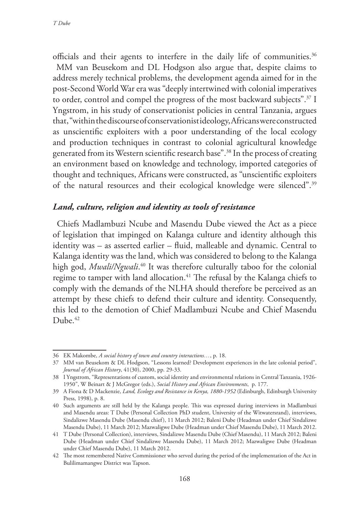officials and their agents to interfere in the daily life of communities.<sup>36</sup> MM van Beusekom and DL Hodgson also argue that, despite claims to address merely technical problems, the development agenda aimed for in the post-Second World War era was "deeply intertwined with colonial imperatives to order, control and compel the progress of the most backward subjects".37 I Yngstrom, in his study of conservationist policies in central Tanzania, argues that, "within the discourse of conservationist ideology, Africans were constructed as unscientific exploiters with a poor understanding of the local ecology and production techniques in contrast to colonial agricultural knowledge generated from its Western scientific research base".38 In the process of creating an environment based on knowledge and technology, imported categories of thought and techniques, Africans were constructed, as "unscientific exploiters of the natural resources and their ecological knowledge were silenced".39

#### *Land, culture, religion and identity as tools of resistance*

Chiefs Madlambuzi Ncube and Masendu Dube viewed the Act as a piece of legislation that impinged on Kalanga culture and identity although this identity was – as asserted earlier – fluid, malleable and dynamic. Central to Kalanga identity was the land, which was considered to belong to the Kalanga high god, *Mwali/Ngwali*. 40 It was therefore culturally taboo for the colonial regime to tamper with land allocation.<sup>41</sup> The refusal by the Kalanga chiefs to comply with the demands of the NLHA should therefore be perceived as an attempt by these chiefs to defend their culture and identity. Consequently, this led to the demotion of Chief Madlambuzi Ncube and Chief Masendu Dube. 42

<sup>36</sup> EK Makombe, *A social history of town and country interactions…*, p. 18.

<sup>37</sup> MM van Beusekom & DL Hodgson, "Lessons learned? Development experiences in the late colonial period", *Journal of African History*, 41(30), 2000, pp. 29-33.

<sup>38</sup> I Yngstrom, "Representations of custom, social identity and environmental relations in Central Tanzania, 1926- 1950", W Beinart & J McGregor (eds.), *Social History and African Environments*, p. 177.

<sup>39</sup> A Fiona & D Mackenzie, *Land, Ecology and Resistance in Kenya, 1880-1952* (Edinburgh, Edinburgh University Press, 1998), p. 8.

<sup>40</sup> Such arguments are still held by the Kalanga people. This was expressed during interviews in Madlambuzi and Masendu areas: T Dube (Personal Collection PhD student, University of the Witwatersrand), interviews, Sindalizwe Masendu Dube (Masendu chief), 11 March 2012; Baleni Dube (Headman under Chief Sindalizwe Masendu Dube), 11 March 2012; Mazwaligwe Dube (Headman under Chief Masendu Dube), 11 March 2012.

<sup>41</sup> T Dube (Personal Collection), interviews, Sindalizwe Masendu Dube (Chief Masendu), 11 March 2012; Baleni Dube (Headman under Chief Sindalizwe Masendu Dube), 11 March 2012; Mazwaligwe Dube (Headman under Chief Masendu Dube), 11 March 2012.

<sup>42</sup> The most remembered Native Commissioner who served during the period of the implementation of the Act in Bulilimamangwe District was Tapson.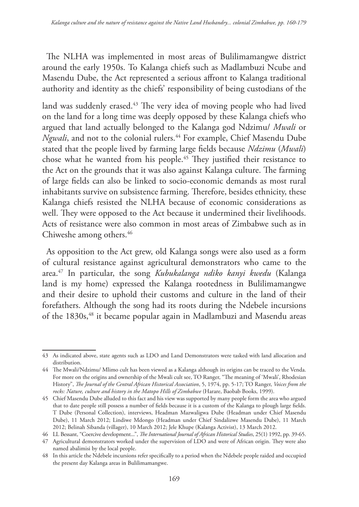The NLHA was implemented in most areas of Bulilimamangwe district around the early 1950s. To Kalanga chiefs such as Madlambuzi Ncube and Masendu Dube, the Act represented a serious affront to Kalanga traditional authority and identity as the chiefs' responsibility of being custodians of the

land was suddenly erased.<sup>43</sup> The very idea of moving people who had lived on the land for a long time was deeply opposed by these Kalanga chiefs who argued that land actually belonged to the Kalanga god Ndzimu/ *Mwali* or *Ngwali*, and not to the colonial rulers.<sup>44</sup> For example, Chief Masendu Dube stated that the people lived by farming large fields because *Ndzimu* (*Mwali*) chose what he wanted from his people.45 They justified their resistance to the Act on the grounds that it was also against Kalanga culture. The farming of large fields can also be linked to socio-economic demands as most rural inhabitants survive on subsistence farming. Therefore, besides ethnicity, these Kalanga chiefs resisted the NLHA because of economic considerations as well. They were opposed to the Act because it undermined their livelihoods. Acts of resistance were also common in most areas of Zimbabwe such as in Chiweshe among others.46

As opposition to the Act grew, old Kalanga songs were also used as a form of cultural resistance against agricultural demonstrators who came to the area.47 In particular, the song *Kubukalanga ndiko kanyi kwedu* (Kalanga land is my home) expressed the Kalanga rootedness in Bulilimamangwe and their desire to uphold their customs and culture in the land of their forefathers. Although the song had its roots during the Ndebele incursions of the 1830s,<sup>48</sup> it became popular again in Madlambuzi and Masendu areas

<sup>43</sup> As indicated above, state agents such as LDO and Land Demonstrators were tasked with land allocation and distribution.

<sup>44</sup> The Mwali/Ndzimu/ Mlimo cult has been viewed as a Kalanga although its origins can be traced to the Venda. For more on the origins and ownership of the Mwali cult see, TO Ranger, "The meaning of 'Mwali', Rhodesian History", *The Journal of the Central African Historical Association*, 5, 1974, pp. 5-17; TO Ranger, *Voices from the rocks: Nature, culture and history in the Matopo Hills of Zimbabwe* (Harare, Baobab Books, 1999).

<sup>45</sup> Chief Masendu Dube alluded to this fact and his view was supported by many people form the area who argued that to date people still possess a number of fields because it is a custom of the Kalanga to plough large fields. T Dube (Personal Collection), interviews, Headman Mazwaligwa Dube (Headman under Chief Masendu Dube), 11 March 2012; Lindiwe Mdongo (Headman under Chief Sindalizwe Masendu Dube), 11 March 2012; Belinah Sibanda (villager), 10 March 2012; Jele Khupe (Kalanga Activist), 13 March 2012.

<sup>46</sup> LL Bessant, "Coercive development...", *The International Journal of African Historical Studies*, 25(1) 1992, pp. 39-65.

<sup>47</sup> Agricultural demonstrators worked under the supervision of LDO and were of African origin. They were also named abalimisi by the local people.

<sup>48</sup> In this article the Ndebele incursions refer specifically to a period when the Ndebele people raided and occupied the present day Kalanga areas in Bulilimamangwe.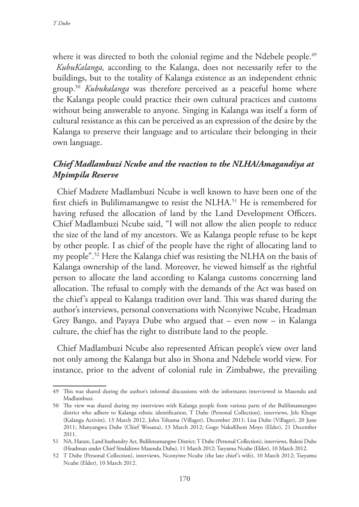where it was directed to both the colonial regime and the Ndebele people.<sup>49</sup> *KubuKalanga,* according to the Kalanga, does not necessarily refer to the buildings, but to the totality of Kalanga existence as an independent ethnic group.50 *Kubukalanga* was therefore perceived as a peaceful home where the Kalanga people could practice their own cultural practices and customs without being answerable to anyone. Singing in Kalanga was itself a form of cultural resistance as this can be perceived as an expression of the desire by the Kalanga to preserve their language and to articulate their belonging in their own language.

#### *Chief Madlambuzi Ncube and the reaction to the NLHA/Amagandiya at Mpimpila Reserve*

Chief Madzete Madlambuzi Ncube is well known to have been one of the first chiefs in Bulilimamangwe to resist the NLHA.<sup>51</sup> He is remembered for having refused the allocation of land by the Land Development Officers. Chief Madlambuzi Ncube said, "I will not allow the alien people to reduce the size of the land of my ancestors. We as Kalanga people refuse to be kept by other people. I as chief of the people have the right of allocating land to my people".52 Here the Kalanga chief was resisting the NLHA on the basis of Kalanga ownership of the land. Moreover, he viewed himself as the rightful person to allocate the land according to Kalanga customs concerning land allocation. The refusal to comply with the demands of the Act was based on the chief's appeal to Kalanga tradition over land. This was shared during the author's interviews, personal conversations with Nconyiwe Ncube, Headman Grey Bango, and Payaya Dube who argued that – even now – in Kalanga culture, the chief has the right to distribute land to the people.

Chief Madlambuzi Ncube also represented African people's view over land not only among the Kalanga but also in Shona and Ndebele world view. For instance, prior to the advent of colonial rule in Zimbabwe, the prevailing

<sup>49</sup> This was shared during the author's informal discussions with the informants interviewed in Masendu and Madlambuzi.

<sup>50</sup> The view was shared during my interviews with Kalanga people from various parts of the Bulilimamangwe district who adhere to Kalanga ethnic identification, T Dube (Personal Collection), interviews, Jele Khupe (Kalanga Activist), 13 March 2012, John Tshuma (Villager), December 2011; Lisa Dube (Villager), 20 June 2011; Manyangwa Dube (Chief Wosana), 13 March 2012; Gogo NakaKheni Moyo (Elder), 21 December 2011.

<sup>51</sup> NA, Harare, Land husbandry Act, Bulilimamangwe District; T Dube (Personal Collection), interviews, Baleni Dube (Headman under Chief Sindalizwe Masendu Dube), 11 March 2012; Tseyamu Ncube (Elder), 10 March 2012.

<sup>52</sup> T Dube (Personal Collection), interviews, Nconyiwe Ncube (the late chief's wife), 10 March 2012; Tseyamu Ncube (Elder), 10 March 2012.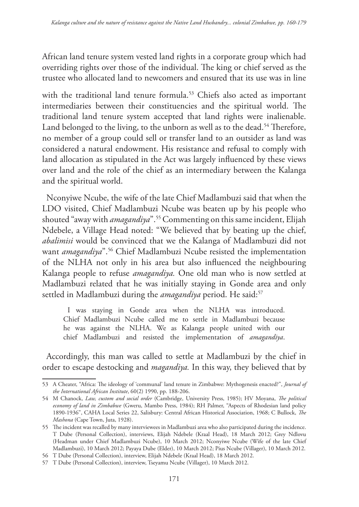African land tenure system vested land rights in a corporate group which had overriding rights over those of the individual. The king or chief served as the trustee who allocated land to newcomers and ensured that its use was in line

with the traditional land tenure formula.<sup>53</sup> Chiefs also acted as important intermediaries between their constituencies and the spiritual world. The traditional land tenure system accepted that land rights were inalienable. Land belonged to the living, to the unborn as well as to the dead.<sup>54</sup> Therefore, no member of a group could sell or transfer land to an outsider as land was considered a natural endowment. His resistance and refusal to comply with land allocation as stipulated in the Act was largely influenced by these views over land and the role of the chief as an intermediary between the Kalanga and the spiritual world.

Nconyiwe Ncube, the wife of the late Chief Madlambuzi said that when the LDO visited, Chief Madlambuzi Ncube was beaten up by his people who shouted "away with *amagandiya*".55 Commenting on this same incident, Elijah Ndebele, a Village Head noted: "We believed that by beating up the chief, *abalimisi* would be convinced that we the Kalanga of Madlambuzi did not want *amagandiya*".56 Chief Madlambuzi Ncube resisted the implementation of the NLHA not only in his area but also influenced the neighbouring Kalanga people to refuse *amagandiya.* One old man who is now settled at Madlambuzi related that he was initially staying in Gonde area and only settled in Madlambuzi during the *amagandiya* period. He said:<sup>57</sup>

I was staying in Gonde area when the NLHA was introduced. Chief Madlambuzi Ncube called me to settle in Madlambuzi because he was against the NLHA. We as Kalanga people united with our chief Madlambuzi and resisted the implementation of *amagandiya*.

Accordingly, this man was called to settle at Madlambuzi by the chief in order to escape destocking and *magandiya.* In this way, they believed that by

<sup>53</sup> A Cheater, "Africa: The ideology of 'communal' land tenure in Zimbabwe: Mythogenesis enacted?", *Journal of the International African Institute*, 60(2) 1990, pp. 188-206.

<sup>54</sup> M Chanock, *Law, custom and social order* (Cambridge, University Press, 1985); HV Moyana, *The political economy of land in Zimbabwe* (Gweru, Mambo Press, 1984); RH Palmer, "Aspects of Rhodesian land policy 1890-1936", CAHA Local Series 22, Salisbury: Central African Historical Association, 1968; C Bullock, *The Mashona* (Cape Town, Juta, 1928).

<sup>55</sup> The incident was recalled by many interviewees in Madlambuzi area who also participated during the incidence. T Dube (Personal Collection), interviews, Elijah Ndebele (Kraal Head), 18 March 2012; Grey Ndlovu (Headman under Chief Madlambuzi Ncube), 10 March 2012; Nconyiwe Ncube (Wife of the late Chief Madlambuzi), 10 March 2012; Payaya Dube (Elder), 10 March 2012; Pius Ncube (Villager), 10 March 2012.

<sup>56</sup> T Dube (Personal Collection), interview, Elijah Ndebele (Kraal Head), 18 March 2012.

<sup>57</sup> T Dube (Personal Collection), interview, Tseyamu Ncube (Villager), 10 March 2012.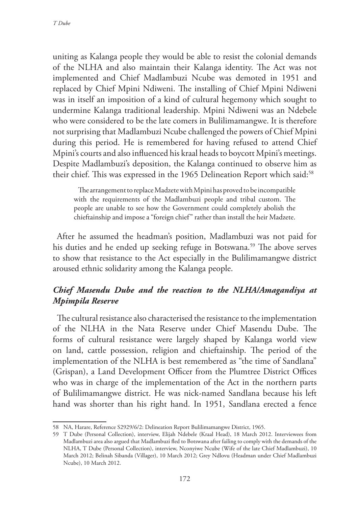uniting as Kalanga people they would be able to resist the colonial demands of the NLHA and also maintain their Kalanga identity. The Act was not implemented and Chief Madlambuzi Ncube was demoted in 1951 and replaced by Chief Mpini Ndiweni. The installing of Chief Mpini Ndiweni was in itself an imposition of a kind of cultural hegemony which sought to undermine Kalanga traditional leadership. Mpini Ndiweni was an Ndebele who were considered to be the late comers in Bulilimamangwe. It is therefore not surprising that Madlambuzi Ncube challenged the powers of Chief Mpini during this period. He is remembered for having refused to attend Chief Mpini's courts and also influenced his kraal heads to boycott Mpini's meetings. Despite Madlambuzi's deposition, the Kalanga continued to observe him as their chief. This was expressed in the 1965 Delineation Report which said:<sup>58</sup>

The arrangement to replace Madzete with Mpini has proved to be incompatible with the requirements of the Madlambuzi people and tribal custom. The people are unable to see how the Government could completely abolish the chieftainship and impose a "foreign chief" rather than install the heir Madzete.

After he assumed the headman's position, Madlambuzi was not paid for his duties and he ended up seeking refuge in Botswana.<sup>59</sup> The above serves to show that resistance to the Act especially in the Bulilimamangwe district aroused ethnic solidarity among the Kalanga people.

## *Chief Masendu Dube and the reaction to the NLHA/Amagandiya at Mpimpila Reserve*

The cultural resistance also characterised the resistance to the implementation of the NLHA in the Nata Reserve under Chief Masendu Dube. The forms of cultural resistance were largely shaped by Kalanga world view on land, cattle possession, religion and chieftainship. The period of the implementation of the NLHA is best remembered as "the time of Sandlana" (Grispan), a Land Development Officer from the Plumtree District Offices who was in charge of the implementation of the Act in the northern parts of Bulilimamangwe district. He was nick-named Sandlana because his left hand was shorter than his right hand. In 1951, Sandlana erected a fence

<sup>58</sup> NA, Harare, Reference S2929/6/2: Delineation Report Bulilimamangwe District, 1965.

<sup>59</sup> T Dube (Personal Collection), interview, Elijah Ndebele (Kraal Head), 18 March 2012. Interviewees from Madlambuzi area also argued that Madlambuzi fled to Botswana after failing to comply with the demands of the NLHA, T Dube (Personal Collection), interview, Nconyiwe Ncube (Wife of the late Chief Madlambuzi), 10 March 2012; Belinah Sibanda (Villager), 10 March 2012; Grey Ndlovu (Headman under Chief Madlambuzi Ncube), 10 March 2012.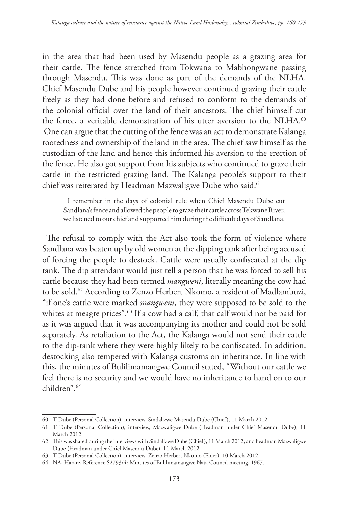in the area that had been used by Masendu people as a grazing area for their cattle. The fence stretched from Tokwana to Mabhongwane passing through Masendu. This was done as part of the demands of the NLHA. Chief Masendu Dube and his people however continued grazing their cattle freely as they had done before and refused to conform to the demands of the colonial official over the land of their ancestors. The chief himself cut the fence, a veritable demonstration of his utter aversion to the NLHA.<sup>60</sup> One can argue that the cutting of the fence was an act to demonstrate Kalanga rootedness and ownership of the land in the area. The chief saw himself as the custodian of the land and hence this informed his aversion to the erection of the fence. He also got support from his subjects who continued to graze their cattle in the restricted grazing land. The Kalanga people's support to their chief was reiterated by Headman Mazwaligwe Dube who said:<sup>61</sup>

I remember in the days of colonial rule when Chief Masendu Dube cut Sandlana's fence and allowed the people to graze their cattle across Tekwane River, we listened to our chief and supported him during the difficult days of Sandlana.

The refusal to comply with the Act also took the form of violence where Sandlana was beaten up by old women at the dipping tank after being accused of forcing the people to destock. Cattle were usually confiscated at the dip tank. The dip attendant would just tell a person that he was forced to sell his cattle because they had been termed *mangweni*, literally meaning the cow had to be sold.62 According to Zenzo Herbert Nkomo, a resident of Madlambuzi, "if one's cattle were marked *mangweni*, they were supposed to be sold to the whites at meagre prices".<sup>63</sup> If a cow had a calf, that calf would not be paid for as it was argued that it was accompanying its mother and could not be sold separately. As retaliation to the Act, the Kalanga would not send their cattle to the dip-tank where they were highly likely to be confiscated. In addition, destocking also tempered with Kalanga customs on inheritance. In line with this, the minutes of Bulilimamangwe Council stated, "Without our cattle we feel there is no security and we would have no inheritance to hand on to our children".64

<sup>60</sup> T Dube (Personal Collection), interview, Sindalizwe Masendu Dube (Chief), 11 March 2012.

<sup>61</sup> T Dube (Personal Collection), interview, Mazwaligwe Dube (Headman under Chief Masendu Dube), 11 March 2012.

<sup>62</sup> This was shared during the interviews with Sindalizwe Dube (Chief), 11 March 2012, and headman Mazwaligwe Dube (Headman under Chief Masendu Dube), 11 March 2012.

<sup>63</sup> T Dube (Personal Collection), interview, Zenzo Herbert Nkomo (Elder), 10 March 2012.

<sup>64</sup> NA, Harare, Reference S2793/4: Minutes of Bulilimamangwe Nata Council meeting, 1967.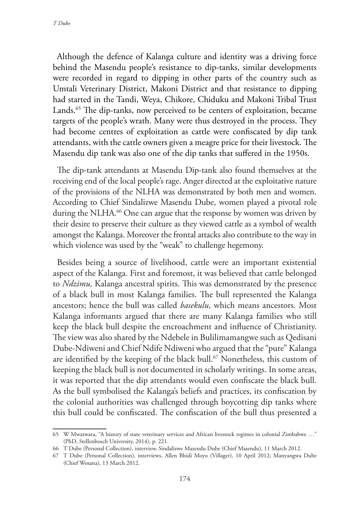Although the defence of Kalanga culture and identity was a driving force behind the Masendu people's resistance to dip-tanks, similar developments were recorded in regard to dipping in other parts of the country such as Umtali Veterinary District, Makoni District and that resistance to dipping had started in the Tandi, Weya, Chikore, Chiduku and Makoni Tribal Trust Lands.<sup>65</sup> The dip-tanks, now perceived to be centers of exploitation, became targets of the people's wrath. Many were thus destroyed in the process. They had become centres of exploitation as cattle were confiscated by dip tank attendants, with the cattle owners given a meagre price for their livestock. The Masendu dip tank was also one of the dip tanks that suffered in the 1950s.

The dip-tank attendants at Masendu Dip-tank also found themselves at the receiving end of the local people's rage. Anger directed at the exploitative nature of the provisions of the NLHA was demonstrated by both men and women. According to Chief Sindalizwe Masendu Dube, women played a pivotal role during the NLHA.<sup>66</sup> One can argue that the response by women was driven by their desire to preserve their culture as they viewed cattle as a symbol of wealth amongst the Kalanga. Moreover the frontal attacks also contribute to the way in which violence was used by the "weak" to challenge hegemony.

Besides being a source of livelihood, cattle were an important existential aspect of the Kalanga. First and foremost, it was believed that cattle belonged to *Ndzimu,* Kalanga ancestral spirits. This was demonstrated by the presence of a black bull in most Kalanga families. The bull represented the Kalanga ancestors; hence the bull was called *basekulu*, which means ancestors. Most Kalanga informants argued that there are many Kalanga families who still keep the black bull despite the encroachment and influence of Christianity. The view was also shared by the Ndebele in Bulilimamangwe such as Qedisani Dube-Ndiweni and Chief Ndife Ndiweni who argued that the "pure" Kalanga are identified by the keeping of the black bull.<sup>67</sup> Nonetheless, this custom of keeping the black bull is not documented in scholarly writings. In some areas, it was reported that the dip attendants would even confiscate the black bull. As the bull symbolised the Kalanga's beliefs and practices, its confiscation by the colonial authorities was challenged through boycotting dip tanks where this bull could be confiscated. The confiscation of the bull thus presented a

<sup>65</sup> W Mwatwara, "A history of state veterinary services and African livestock regimes in colonial Zimbabwe …" (PhD, Stellenbosch University, 2014), p. 221.

<sup>66</sup> T Dube (Personal Collection), interview, Sindalizwe Masendu Dube (Chief Masendu), 11 March 2012.

<sup>67</sup> T Dube (Personal Collection), interviews, Allen Bhidi Moyo (Villager), 10 April 2012; Manyangwa Dube (Chief Wosana), 13 March 2012.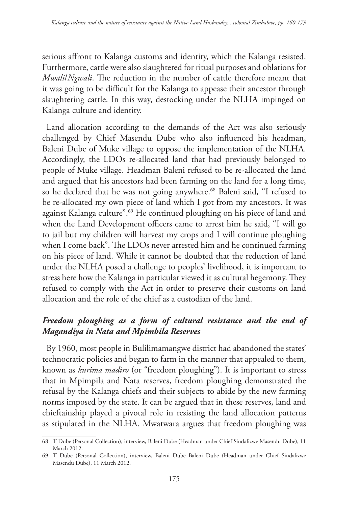serious affront to Kalanga customs and identity, which the Kalanga resisted. Furthermore, cattle were also slaughtered for ritual purposes and oblations for *Mwali*/*Ngwali*. The reduction in the number of cattle therefore meant that it was going to be difficult for the Kalanga to appease their ancestor through slaughtering cattle. In this way, destocking under the NLHA impinged on Kalanga culture and identity.

Land allocation according to the demands of the Act was also seriously challenged by Chief Masendu Dube who also influenced his headman, Baleni Dube of Muke village to oppose the implementation of the NLHA. Accordingly, the LDOs re-allocated land that had previously belonged to people of Muke village. Headman Baleni refused to be re-allocated the land and argued that his ancestors had been farming on the land for a long time, so he declared that he was not going anywhere.<sup>68</sup> Baleni said, "I refused to be re-allocated my own piece of land which I got from my ancestors. It was against Kalanga culture".69 He continued ploughing on his piece of land and when the Land Development officers came to arrest him he said, "I will go to jail but my children will harvest my crops and I will continue ploughing when I come back". The LDOs never arrested him and he continued farming on his piece of land. While it cannot be doubted that the reduction of land under the NLHA posed a challenge to peoples' livelihood, it is important to stress here how the Kalanga in particular viewed it as cultural hegemony. They refused to comply with the Act in order to preserve their customs on land allocation and the role of the chief as a custodian of the land.

## *Freedom ploughing as a form of cultural resistance and the end of Magandiya in Nata and Mpimbila Reserves*

By 1960, most people in Bulilimamangwe district had abandoned the states' technocratic policies and began to farm in the manner that appealed to them, known as *kurima madiro* (or "freedom ploughing"). It is important to stress that in Mpimpila and Nata reserves, freedom ploughing demonstrated the refusal by the Kalanga chiefs and their subjects to abide by the new farming norms imposed by the state. It can be argued that in these reserves, land and chieftainship played a pivotal role in resisting the land allocation patterns as stipulated in the NLHA. Mwatwara argues that freedom ploughing was

<sup>68</sup> T Dube (Personal Collection), interview, Baleni Dube (Headman under Chief Sindalizwe Masendu Dube), 11 March 2012.

<sup>69</sup> T Dube (Personal Collection), interview, Baleni Dube Baleni Dube (Headman under Chief Sindalizwe Masendu Dube), 11 March 2012.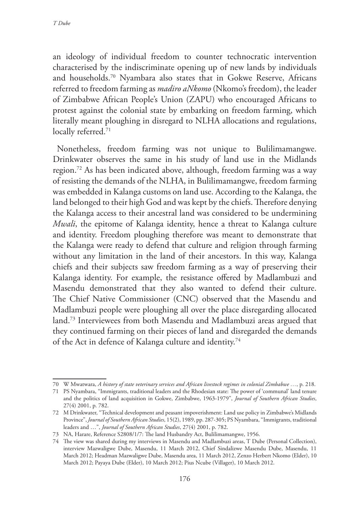an ideology of individual freedom to counter technocratic intervention characterised by the indiscriminate opening up of new lands by individuals and households.70 Nyambara also states that in Gokwe Reserve, Africans referred to freedom farming as *madiro aNkomo* (Nkomo's freedom), the leader of Zimbabwe African People's Union (ZAPU) who encouraged Africans to protest against the colonial state by embarking on freedom farming, which literally meant ploughing in disregard to NLHA allocations and regulations, locally referred.<sup>71</sup>

Nonetheless, freedom farming was not unique to Bulilimamangwe. Drinkwater observes the same in his study of land use in the Midlands region.72 As has been indicated above, although, freedom farming was a way of resisting the demands of the NLHA, in Bulilimamangwe, freedom farming was embedded in Kalanga customs on land use. According to the Kalanga, the land belonged to their high God and was kept by the chiefs. Therefore denying the Kalanga access to their ancestral land was considered to be undermining *Mwali*, the epitome of Kalanga identity, hence a threat to Kalanga culture and identity. Freedom ploughing therefore was meant to demonstrate that the Kalanga were ready to defend that culture and religion through farming without any limitation in the land of their ancestors. In this way, Kalanga chiefs and their subjects saw freedom farming as a way of preserving their Kalanga identity. For example, the resistance offered by Madlambuzi and Masendu demonstrated that they also wanted to defend their culture. The Chief Native Commissioner (CNC) observed that the Masendu and Madlambuzi people were ploughing all over the place disregarding allocated land.73 Interviewees from both Masendu and Madlambuzi areas argued that they continued farming on their pieces of land and disregarded the demands of the Act in defence of Kalanga culture and identity.<sup>74</sup>

<sup>70</sup> W Mwatwara, *A history of state veterinary services and African livestock regimes in colonial Zimbabwe …*, p. 218.

<sup>71</sup> PS Nyambara, "Immigrants, traditional leaders and the Rhodesian state: The power of 'communal' land tenure and the politics of land acquisition in Gokwe, Zimbabwe, 1963-1979", *Journal of Southern African Studies*, 27(4) 2001, p. 782.

<sup>72</sup> M Drinkwater, "Technical development and peasant impoverishment: Land use policy in Zimbabwe's Midlands Province", *Journal of Southern African Studies*, 15(2), 1989, pp. 287-305; PS Nyambara, ''Immigrants, traditional leaders and …", *Journal of Southern African Studies*, 27(4) 2001, p. 782.

<sup>73</sup> NA, Harare, Reference S2808/1/7: The land Husbandry Act, Bulilimamangwe, 1956.

<sup>74</sup> The view was shared during my interviews in Masendu and Madlambuzi areas, T Dube (Personal Collection), interview Mazwaligwe Dube, Masendu, 11 March 2012, Chief Sindalizwe Masendu Dube, Masendu, 11 March 2012; Headman Mazwaligwe Dube, Masendu area, 11 March 2012, Zenzo Herbert Nkomo (Elder), 10 March 2012; Payaya Dube (Elder), 10 March 2012; Pius Ncube (Villager), 10 March 2012.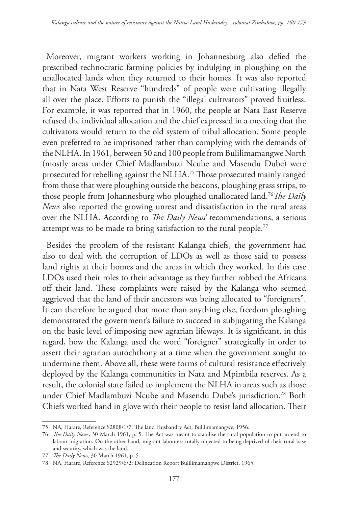Moreover, migrant workers working in Johannesburg also defied the prescribed technocratic farming policies by indulging in ploughing on the unallocated lands when they returned to their homes. It was also reported that in Nata West Reserve "hundreds" of people were cultivating illegally all over the place. Efforts to punish the "illegal cultivators" proved fruitless. For example, it was reported that in 1960, the people at Nata East Reserve refused the individual allocation and the chief expressed in a meeting that the cultivators would return to the old system of tribal allocation. Some people even preferred to be imprisoned rather than complying with the demands of the NLHA. In 1961, between 50 and 100 people from Bulilimamangwe North (mostly areas under Chief Madlambuzi Ncube and Masendu Dube) were prosecuted for rebelling against the NLHA.75 Those prosecuted mainly ranged from those that were ploughing outside the beacons, ploughing grass strips, to those people from Johannesburg who ploughed unallocated land.76*The Daily News* also reported the growing unrest and dissatisfaction in the rural areas over the NLHA. According to *The Daily News'* recommendations, a serious attempt was to be made to bring satisfaction to the rural people.<sup>77</sup>

Besides the problem of the resistant Kalanga chiefs, the government had also to deal with the corruption of LDOs as well as those said to possess land rights at their homes and the areas in which they worked. In this case LDOs used their roles to their advantage as they further robbed the Africans off their land. These complaints were raised by the Kalanga who seemed aggrieved that the land of their ancestors was being allocated to "foreigners". It can therefore be argued that more than anything else, freedom ploughing demonstrated the government's failure to succeed in subjugating the Kalanga on the basic level of imposing new agrarian lifeways. It is significant, in this regard, how the Kalanga used the word "foreigner" strategically in order to assert their agrarian autochthony at a time when the government sought to undermine them. Above all, these were forms of cultural resistance effectively deployed by the Kalanga communities in Nata and Mpimbila reserves. As a result, the colonial state failed to implement the NLHA in areas such as those under Chief Madlambuzi Ncube and Masendu Dube's jurisdiction.78 Both Chiefs worked hand in glove with their people to resist land allocation. Their

<sup>75</sup> NA, Harare, Reference S2808/1/7: The land Husbandry Act, Bulilimamangwe, 1956.

<sup>76</sup> *The Daily News*, 30 March 1961, p. 5. The Act was meant to stabilise the rural population to put an end to labour migration. On the other hand, migrant labourers totally objected to being deprived of their rural base and security, which was the land.

<sup>77</sup> *The Daily News*, 30 March 1961, p. 5.

<sup>78</sup> NA, Harare, Reference S2929/6/2: Delineation Report Bulilimamangwe District, 1965.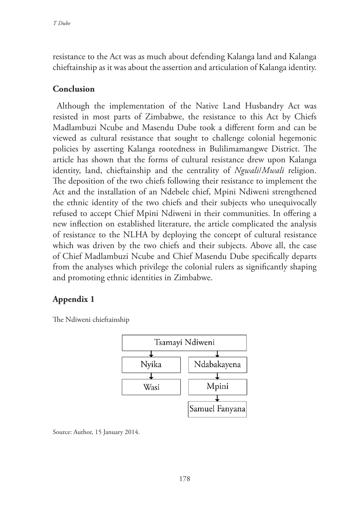resistance to the Act was as much about defending Kalanga land and Kalanga chieftainship as it was about the assertion and articulation of Kalanga identity.

#### **Conclusion**

Although the implementation of the Native Land Husbandry Act was resisted in most parts of Zimbabwe, the resistance to this Act by Chiefs Madlambuzi Ncube and Masendu Dube took a different form and can be viewed as cultural resistance that sought to challenge colonial hegemonic policies by asserting Kalanga rootedness in Bulilimamangwe District. The article has shown that the forms of cultural resistance drew upon Kalanga identity, land, chieftainship and the centrality of *Ngwali*/*Mwali* religion. The deposition of the two chiefs following their resistance to implement the Act and the installation of an Ndebele chief, Mpini Ndiweni strengthened the ethnic identity of the two chiefs and their subjects who unequivocally refused to accept Chief Mpini Ndiweni in their communities. In offering a new inflection on established literature, the article complicated the analysis of resistance to the NLHA by deploying the concept of cultural resistance which was driven by the two chiefs and their subjects. Above all, the case of Chief Madlambuzi Ncube and Chief Masendu Dube specifically departs from the analyses which privilege the colonial rulers as significantly shaping and promoting ethnic identities in Zimbabwe.

### **Appendix 1**

The Ndiweni chieftainship



Source: Author, 15 January 2014.